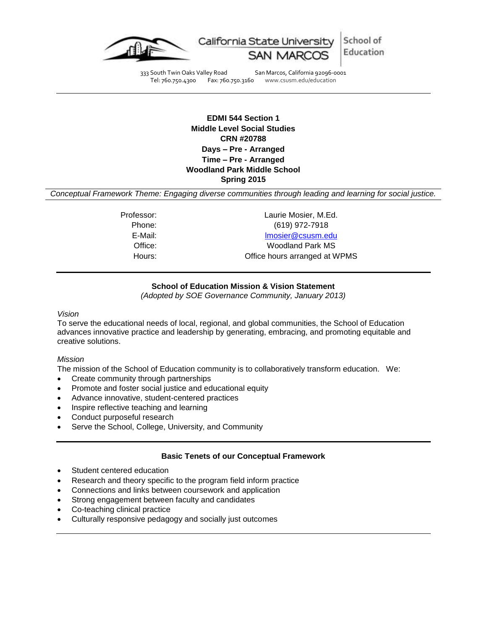

School of California State Universi Education

333 South Twin Oaks Valley Road San Marcos, California 92096-0001 Tel: 760.750.4300 Fax: 760.750.3160 www.csusm.edu/education

> **EDMI 544 Section 1 Middle Level Social Studies CRN #20788 Days – Pre - Arranged Time – Pre - Arranged Woodland Park Middle School Spring 2015**

*Conceptual Framework Theme: Engaging diverse communities through leading and learning for social justice.*

Professor: Laurie Mosier, M.Ed. Phone: (619) 972-7918 E-Mail: [lmosier@csusm.edu](mailto:lmosier@csusm.edu) Office: Woodland Park MS Hours: Office hours arranged at WPMS

# **School of Education Mission & Vision Statement**

*(Adopted by SOE Governance Community, January 2013)*

*Vision*

To serve the educational needs of local, regional, and global communities, the School of Education advances innovative practice and leadership by generating, embracing, and promoting equitable and creative solutions.

#### *Mission*

The mission of the School of Education community is to collaboratively transform education. We:

- Create community through partnerships
- Promote and foster social justice and educational equity
- Advance innovative, student-centered practices
- Inspire reflective teaching and learning
- Conduct purposeful research
- Serve the School, College, University, and Community

#### **Basic Tenets of our Conceptual Framework**

- Student centered education
- Research and theory specific to the program field inform practice
- Connections and links between coursework and application
- Strong engagement between faculty and candidates
- Co-teaching clinical practice
- Culturally responsive pedagogy and socially just outcomes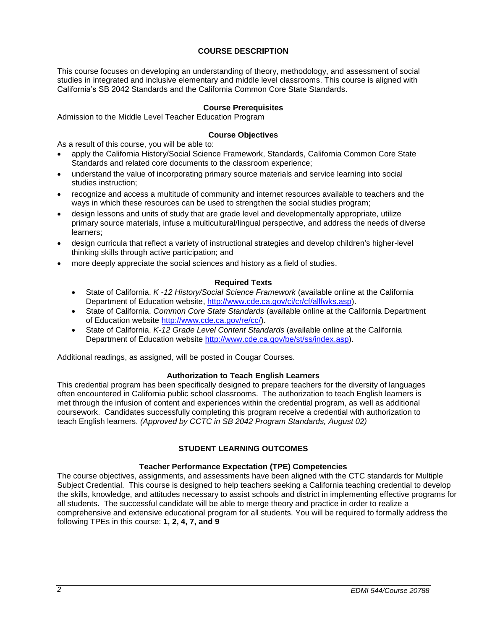# **COURSE DESCRIPTION**

This course focuses on developing an understanding of theory, methodology, and assessment of social studies in integrated and inclusive elementary and middle level classrooms. This course is aligned with California's SB 2042 Standards and the California Common Core State Standards.

## **Course Prerequisites**

Admission to the Middle Level Teacher Education Program

## **Course Objectives**

As a result of this course, you will be able to:

- apply the California History/Social Science Framework, Standards, California Common Core State Standards and related core documents to the classroom experience;
- understand the value of incorporating primary source materials and service learning into social studies instruction;
- recognize and access a multitude of community and internet resources available to teachers and the ways in which these resources can be used to strengthen the social studies program;
- design lessons and units of study that are grade level and developmentally appropriate, utilize primary source materials, infuse a multicultural/lingual perspective, and address the needs of diverse learners;
- design curricula that reflect a variety of instructional strategies and develop children's higher-level thinking skills through active participation; and
- more deeply appreciate the social sciences and history as a field of studies.

## **Required Texts**

- State of California. *K -12 History/Social Science Framework* (available online at the California Department of Education website, [http://www.cde.ca.gov/ci/cr/cf/allfwks.asp\)](http://www.cde.ca.gov/ci/cr/cf/allfwks.asp).
- State of California. *Common Core State Standards* (available online at the California Department of Education website [http://www.cde.ca.gov/re/cc/\)](http://www.cde.ca.gov/re/cc/).
- State of California. *K-12 Grade Level Content Standards* (available online at the California Department of Education website [http://www.cde.ca.gov/be/st/ss/index.asp\)](http://www.cde.ca.gov/be/st/ss/index.asp).

Additional readings, as assigned, will be posted in Cougar Courses.

#### **Authorization to Teach English Learners**

This credential program has been specifically designed to prepare teachers for the diversity of languages often encountered in California public school classrooms. The authorization to teach English learners is met through the infusion of content and experiences within the credential program, as well as additional coursework. Candidates successfully completing this program receive a credential with authorization to teach English learners. *(Approved by CCTC in SB 2042 Program Standards, August 02)*

# **STUDENT LEARNING OUTCOMES**

#### **Teacher Performance Expectation (TPE) Competencies**

The course objectives, assignments, and assessments have been aligned with the CTC standards for Multiple Subject Credential. This course is designed to help teachers seeking a California teaching credential to develop the skills, knowledge, and attitudes necessary to assist schools and district in implementing effective programs for all students. The successful candidate will be able to merge theory and practice in order to realize a comprehensive and extensive educational program for all students. You will be required to formally address the following TPEs in this course: **1, 2, 4, 7, and 9**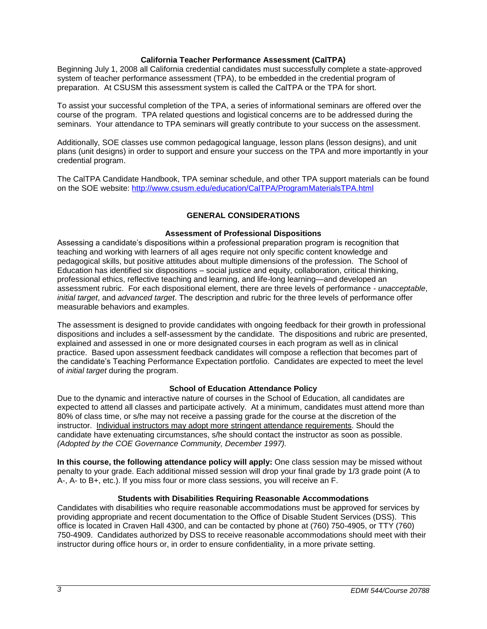## **California Teacher Performance Assessment (CalTPA)**

Beginning July 1, 2008 all California credential candidates must successfully complete a state-approved system of teacher performance assessment (TPA), to be embedded in the credential program of preparation. At CSUSM this assessment system is called the CalTPA or the TPA for short.

To assist your successful completion of the TPA, a series of informational seminars are offered over the course of the program. TPA related questions and logistical concerns are to be addressed during the seminars. Your attendance to TPA seminars will greatly contribute to your success on the assessment.

Additionally, SOE classes use common pedagogical language, lesson plans (lesson designs), and unit plans (unit designs) in order to support and ensure your success on the TPA and more importantly in your credential program.

The CalTPA Candidate Handbook, TPA seminar schedule, and other TPA support materials can be found on the SOE website: <http://www.csusm.edu/education/CalTPA/ProgramMaterialsTPA.html>

## **GENERAL CONSIDERATIONS**

#### **Assessment of Professional Dispositions**

Assessing a candidate's dispositions within a professional preparation program is recognition that teaching and working with learners of all ages require not only specific content knowledge and pedagogical skills, but positive attitudes about multiple dimensions of the profession. The School of Education has identified six dispositions – social justice and equity, collaboration, critical thinking, professional ethics, reflective teaching and learning, and life-long learning—and developed an assessment rubric. For each dispositional element, there are three levels of performance - *unacceptable*, *initial target*, and *advanced target*. The description and rubric for the three levels of performance offer measurable behaviors and examples.

The assessment is designed to provide candidates with ongoing feedback for their growth in professional dispositions and includes a self-assessment by the candidate. The dispositions and rubric are presented, explained and assessed in one or more designated courses in each program as well as in clinical practice. Based upon assessment feedback candidates will compose a reflection that becomes part of the candidate's Teaching Performance Expectation portfolio. Candidates are expected to meet the level of *initial target* during the program.

# **School of Education Attendance Policy**

Due to the dynamic and interactive nature of courses in the School of Education, all candidates are expected to attend all classes and participate actively. At a minimum, candidates must attend more than 80% of class time, or s/he may not receive a passing grade for the course at the discretion of the instructor. Individual instructors may adopt more stringent attendance requirements. Should the candidate have extenuating circumstances, s/he should contact the instructor as soon as possible. *(Adopted by the COE Governance Community, December 1997).*

**In this course, the following attendance policy will apply:** One class session may be missed without penalty to your grade. Each additional missed session will drop your final grade by 1/3 grade point (A to A-, A- to B+, etc.). If you miss four or more class sessions, you will receive an F.

#### **Students with Disabilities Requiring Reasonable Accommodations**

Candidates with disabilities who require reasonable accommodations must be approved for services by providing appropriate and recent documentation to the Office of Disable Student Services (DSS). This office is located in Craven Hall 4300, and can be contacted by phone at (760) 750-4905, or TTY (760) 750-4909. Candidates authorized by DSS to receive reasonable accommodations should meet with their instructor during office hours or, in order to ensure confidentiality, in a more private setting.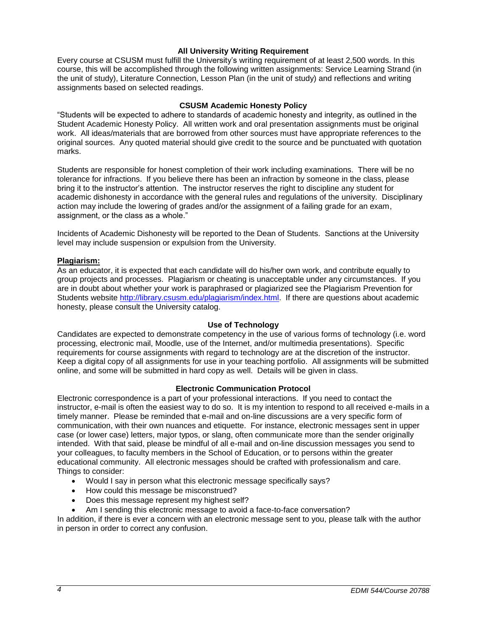# **All University Writing Requirement**

Every course at CSUSM must fulfill the University's writing requirement of at least 2,500 words. In this course, this will be accomplished through the following written assignments: Service Learning Strand (in the unit of study), Literature Connection, Lesson Plan (in the unit of study) and reflections and writing assignments based on selected readings.

#### **CSUSM Academic Honesty Policy**

"Students will be expected to adhere to standards of academic honesty and integrity, as outlined in the Student Academic Honesty Policy. All written work and oral presentation assignments must be original work. All ideas/materials that are borrowed from other sources must have appropriate references to the original sources. Any quoted material should give credit to the source and be punctuated with quotation marks.

Students are responsible for honest completion of their work including examinations. There will be no tolerance for infractions. If you believe there has been an infraction by someone in the class, please bring it to the instructor's attention. The instructor reserves the right to discipline any student for academic dishonesty in accordance with the general rules and regulations of the university. Disciplinary action may include the lowering of grades and/or the assignment of a failing grade for an exam, assignment, or the class as a whole."

Incidents of Academic Dishonesty will be reported to the Dean of Students. Sanctions at the University level may include suspension or expulsion from the University.

#### **Plagiarism:**

As an educator, it is expected that each candidate will do his/her own work, and contribute equally to group projects and processes. Plagiarism or cheating is unacceptable under any circumstances. If you are in doubt about whether your work is paraphrased or plagiarized see the Plagiarism Prevention for Students website [http://library.csusm.edu/plagiarism/index.html.](http://library.csusm.edu/plagiarism/index.html) If there are questions about academic honesty, please consult the University catalog.

#### **Use of Technology**

Candidates are expected to demonstrate competency in the use of various forms of technology (i.e. word processing, electronic mail, Moodle, use of the Internet, and/or multimedia presentations). Specific requirements for course assignments with regard to technology are at the discretion of the instructor. Keep a digital copy of all assignments for use in your teaching portfolio. All assignments will be submitted online, and some will be submitted in hard copy as well. Details will be given in class.

## **Electronic Communication Protocol**

Electronic correspondence is a part of your professional interactions. If you need to contact the instructor, e-mail is often the easiest way to do so. It is my intention to respond to all received e-mails in a timely manner. Please be reminded that e-mail and on-line discussions are a very specific form of communication, with their own nuances and etiquette. For instance, electronic messages sent in upper case (or lower case) letters, major typos, or slang, often communicate more than the sender originally intended. With that said, please be mindful of all e-mail and on-line discussion messages you send to your colleagues, to faculty members in the School of Education, or to persons within the greater educational community. All electronic messages should be crafted with professionalism and care. Things to consider:

- Would I say in person what this electronic message specifically says?
- How could this message be misconstrued?
- Does this message represent my highest self?
- Am I sending this electronic message to avoid a face-to-face conversation?

In addition, if there is ever a concern with an electronic message sent to you, please talk with the author in person in order to correct any confusion.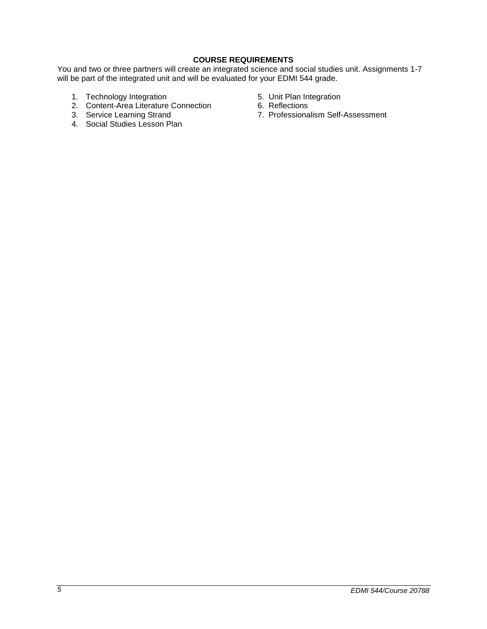# **COURSE REQUIREMENTS**

You and two or three partners will create an integrated science and social studies unit. Assignments 1-7 will be part of the integrated unit and will be evaluated for your EDMI 544 grade.

- 1. Technology Integration 1. Technology Integration
- 2. Content-Area Literature Connection 6. Reflections
- 
- 4. Social Studies Lesson Plan
- 
- 
- 3. Service Learning Strand 7. Professionalism Self-Assessment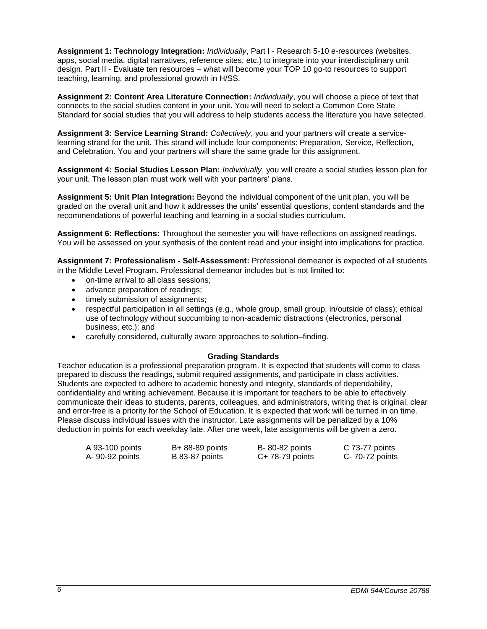**Assignment 1: Technology Integration:** *Individually*, Part I - Research 5-10 e-resources (websites, apps, social media, digital narratives, reference sites, etc.) to integrate into your interdisciplinary unit design. Part II - Evaluate ten resources – what will become your TOP 10 go-to resources to support teaching, learning, and professional growth in H/SS.

**Assignment 2: Content Area Literature Connection:** *Individually*, you will choose a piece of text that connects to the social studies content in your unit. You will need to select a Common Core State Standard for social studies that you will address to help students access the literature you have selected.

**Assignment 3: Service Learning Strand:** *Collectively*, you and your partners will create a servicelearning strand for the unit. This strand will include four components: Preparation, Service, Reflection, and Celebration. You and your partners will share the same grade for this assignment.

**Assignment 4: Social Studies Lesson Plan:** *Individually*, you will create a social studies lesson plan for your unit. The lesson plan must work well with your partners' plans.

**Assignment 5: Unit Plan Integration:** Beyond the individual component of the unit plan, you will be graded on the overall unit and how it addresses the units' essential questions, content standards and the recommendations of powerful teaching and learning in a social studies curriculum.

**Assignment 6: Reflections:** Throughout the semester you will have reflections on assigned readings. You will be assessed on your synthesis of the content read and your insight into implications for practice.

**Assignment 7: Professionalism - Self-Assessment:** Professional demeanor is expected of all students in the Middle Level Program. Professional demeanor includes but is not limited to:

- on-time arrival to all class sessions;
- advance preparation of readings;
- timely submission of assignments;
- respectful participation in all settings (e.g., whole group, small group, in/outside of class); ethical use of technology without succumbing to non-academic distractions (electronics, personal business, etc.); and
- carefully considered, culturally aware approaches to solution–finding.

#### **Grading Standards**

Teacher education is a professional preparation program. It is expected that students will come to class prepared to discuss the readings, submit required assignments, and participate in class activities. Students are expected to adhere to academic honesty and integrity, standards of dependability, confidentiality and writing achievement. Because it is important for teachers to be able to effectively communicate their ideas to students, parents, colleagues, and administrators, writing that is original, clear and error-free is a priority for the School of Education. It is expected that work will be turned in on time. Please discuss individual issues with the instructor. Late assignments will be penalized by a 10% deduction in points for each weekday late. After one week, late assignments will be given a zero.

| A 93-100 points | B+ 88-89 points | B-80-82 points   | C 73-77 points  |
|-----------------|-----------------|------------------|-----------------|
| A- 90-92 points | B 83-87 points  | $C+78-79$ points | C- 70-72 points |